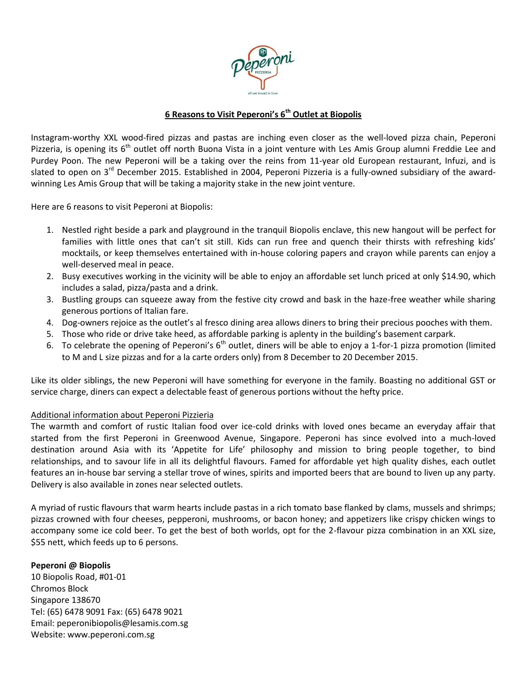

## **6 Reasons to Visit Peperoni's 6th Outlet at Biopolis**

Instagram-worthy XXL wood-fired pizzas and pastas are inching even closer as the well-loved pizza chain, Peperoni Pizzeria, is opening its  $6<sup>th</sup>$  outlet off north Buona Vista in a joint venture with Les Amis Group alumni Freddie Lee and Purdey Poon. The new Peperoni will be a taking over the reins from 11-year old European restaurant, Infuzi, and is slated to open on 3<sup>rd</sup> December 2015. Established in 2004, Peperoni Pizzeria is a fully-owned subsidiary of the awardwinning Les Amis Group that will be taking a majority stake in the new joint venture.

Here are 6 reasons to visit Peperoni at Biopolis:

- 1. Nestled right beside a park and playground in the tranquil Biopolis enclave, this new hangout will be perfect for families with little ones that can't sit still. Kids can run free and quench their thirsts with refreshing kids' mocktails, or keep themselves entertained with in-house coloring papers and crayon while parents can enjoy a well-deserved meal in peace.
- 2. Busy executives working in the vicinity will be able to enjoy an affordable set lunch priced at only \$14.90, which includes a salad, pizza/pasta and a drink.
- 3. Bustling groups can squeeze away from the festive city crowd and bask in the haze-free weather while sharing generous portions of Italian fare.
- 4. Dog-owners rejoice as the outlet's al fresco dining area allows diners to bring their precious pooches with them.
- 5. Those who ride or drive take heed, as affordable parking is aplenty in the building's basement carpark.
- 6. To celebrate the opening of Peperoni's  $6<sup>th</sup>$  outlet, diners will be able to enjoy a 1-for-1 pizza promotion (limited to M and L size pizzas and for a la carte orders only) from 8 December to 20 December 2015.

Like its older siblings, the new Peperoni will have something for everyone in the family. Boasting no additional GST or service charge, diners can expect a delectable feast of generous portions without the hefty price.

## Additional information about Peperoni Pizzieria

The warmth and comfort of rustic Italian food over ice-cold drinks with loved ones became an everyday affair that started from the first Peperoni in Greenwood Avenue, Singapore. Peperoni has since evolved into a much-loved destination around Asia with its 'Appetite for Life' philosophy and mission to bring people together, to bind relationships, and to savour life in all its delightful flavours. Famed for affordable yet high quality dishes, each outlet features an in-house bar serving a stellar trove of wines, spirits and imported beers that are bound to liven up any party. Delivery is also available in zones near selected outlets.

A myriad of rustic flavours that warm hearts include pastas in a rich tomato base flanked by clams, mussels and shrimps; pizzas crowned with four cheeses, pepperoni, mushrooms, or bacon honey; and appetizers like crispy chicken wings to accompany some ice cold beer. To get the best of both worlds, opt for the 2-flavour pizza combination in an XXL size, \$55 nett, which feeds up to 6 persons.

## **Peperoni @ Biopolis**

10 Biopolis Road, #01-01 Chromos Block Singapore 138670 Tel: (65) 6478 9091 Fax: (65) 6478 9021 Email: [peperonibiopolis@lesamis.com.sg](mailto:peperonibiopolis@lesamis.com.sg) Website[: www.peperoni.com.sg](http://www.peperoni.com.sg/)